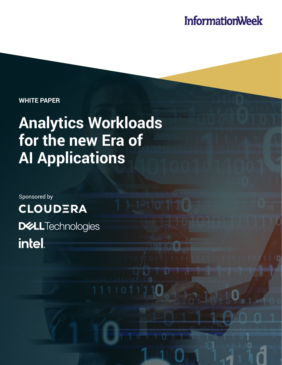## **InformationWeek**

**WHITE PAPER**

# **Analytics Workloads for the new Era of AI Applications**

Sponsored by **CLOUDERA DELL**Technologies intel.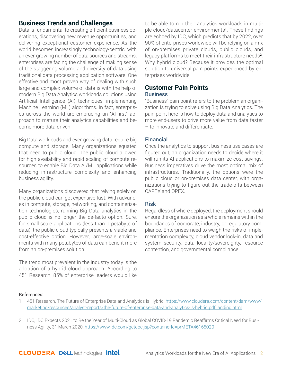#### **Business Trends and Challenges**

Data is fundamental to creating efficient business operations, discovering new revenue opportunities, and delivering exceptional customer experience. As the world becomes increasingly technology-centric, with an ever-growing number of data sources and streams, enterprises are facing the challenge of making sense of the staggering volume and diversity of data using traditional data processing application software. One effective and most proven way of dealing with such large and complex volume of data is with the help of modern Big Data Analytics workloads solutions using Artificial Intelligence (AI) techniques, implementing Machine Learning (ML) algorithms. In fact, enterprises across the world are embracing an "AI-first" approach to mature their analytics capabilities and become more data-driven.

Big Data workloads and ever-growing data require big compute and storage. Many organizations equated that need to public cloud. The public cloud allowed for high availability and rapid scaling of compute resources to enable Big Data AI/ML applications while reducing infrastructure complexity and enhancing business agility.

Many organizations discovered that relying solely on the public cloud can get expensive fast. With advances in compute, storage, networking, and containerization technologies, running Big Data analytics in the public cloud is no longer the de-facto option. Sure, for small-scale applications (less than 1 petabyte of data), the public cloud typically presents a viable and cost-effective option. However, large-scale environments with many petabytes of data can benefit more from an on-premises solution.

The trend most prevalent in the industry today is the adoption of a hybrid cloud approach. According to 451 Research, 85% of enterprise leaders would like

to be able to run their analytics workloads in multiple cloud/datacenter environments**[1](#page-3-0)**. These findings are echoed by IDC, which predicts that by 2022, over 90% of enterprises worldwide will be relying on a mix of on-premises private clouds, public clouds, and legacy platforms to meet their infrastructure needs**<sup>2</sup>**. Why hybrid cloud? Because it provides the optimal solution to universal pain points experienced by enterprises worldwide.

### **Customer Pain Points**

#### **Business**

"Business" pain point refers to the problem an organization is trying to solve using Big Data Analytics. The pain point here is how to deploy data and analytics to more end-users to drive more value from data faster – to innovate and differentiate.

#### Financial

Once the analytics to support business use cases are figured out, an organization needs to decide where it will run its AI applications to maximize cost savings. Business imperatives drive the most optimal mix of infrastructures. Traditionally, the options were the public cloud or on-premises data center, with organizations trying to figure out the trade-offs between CAPEX and OPEX.

#### Risk

Regardless of where deployed, the deployment should ensure the organization as a whole remains within the boundaries of corporate, industry, or regulatory compliance. Enterprises need to weigh the risks of implementation complexity, cloud vendor lock-in, data and system security, data locality/sovereignty, resource contention, and governmental compliance.

#### References:

1. 451 Research, The Future of Enterprise Data and Analytics is Hybrid, [https://www.cloudera.com/content/dam/www/](https://www.cloudera.com/content/dam/www/marketing/resources/analyst-reports/the-future-of-enterprise-data-and-analytics-is-hybrid.pdf.landing.html
) [marketing/resources/analyst-reports/the-future-of-enterprise-data-and-analytics-is-hybrid.pdf.landing.html](https://www.cloudera.com/content/dam/www/marketing/resources/analyst-reports/the-future-of-enterprise-data-and-analytics-is-hybrid.pdf.landing.html
)

2. IDC, IDC Expects 2021 to Be the Year of Multi-Cloud as Global COVID-19 Pandemic Reaffirms Critical Need for Business Agility, 31 March 2020, [https://www.idc.com/getdoc.jsp?containerId=prMETA46165020](https://www.idc.com/getdoc.jsp?containerId=prMETA46165020
)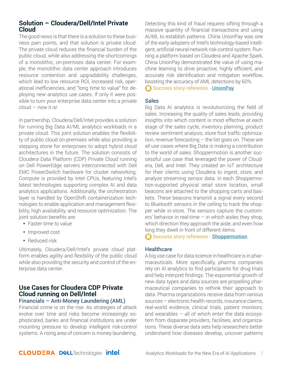#### **Solution – Cloudera/Dell/Intel Private Cloud**

The good news is that there is a solution to these business pain points, and that solution is private cloud. The private cloud reduces the financial burden of the public cloud, while also addressing the shortcomings of a monolithic, on-premises data center. For example, the monolithic data center approach introduces resource contention and upgradability challenges, which lead to low resource ROI, increased risk, operational inefficiencies, and "long time to value" for deploying new analytics use cases. If only it were possible to turn your enterprise data center into a private cloud — now it is!

In partnership, Cloudera/Dell/Intel provides a solution for running Big Data AI/ML analytics workloads in a private cloud. This joint solution enables the flexibility of public cloud on-premises while also providing a stepping stone for enterprises to adopt hybrid cloud architectures in the future. The solution consists of Cloudera Data Platform (CDP) Private Cloud running on Dell PowerEdge servers interconnected with Dell EMC PowerSwitch hardware for cluster networking. Compute is provided by Intel CPUs, featuring Intel's latest technologies supporting complex AI and data analytics applications. Additionally, the orchestration layer is handled by OpenShift containerization technologies to enable application and management flexibility, high availability, and resource optimization. The joint solution benefits are:

- Faster time to value
- Improved cost
- Reduced risk

Ultimately, Cloudera/Dell/Intel's private cloud platform enables agility and flexibility of the public cloud while also providing the security and control of the enterprise data center.

#### **Use Cases for Cloudera CDP Private Cloud running on Dell/Intel**

#### Financials – Anti-Money Laundering (AML)

Financial crime is on the rise. As strategies of attack evolve over time and risks become increasingly sophisticated, banks and financial institutions are under mounting pressure to develop intelligent risk-control systems. A rising area of concern is money laundering.

Detecting this kind of fraud requires sifting through a massive quantity of financial transactions and using AI/ML to establish patterns. China UnionPay was one of the early adopters of Intel's technology-based intelligent, artificial neural-network risk-control system. Running a platform based on Cloudera and Apache Spark, China UnionPay demonstrated the value of using machine learning to drive proactive, highly efficient, and accurate risk identification and mitigation workflow, boosting the accuracy of AML detections by 60%.

[Success story reference -](https://www.intel.com/content/www/us/en/financial-services-it/union-pay-case-study.html) UnionPay

#### **Sales**

Big Data AI analytics is revolutionizing the field of sales. Increasing the quality of sales leads, providing insights into which content is most effective at each stage of the sales cycle, inventory planning, product review sentiment analysis, store foot traffic optimization, revenue forecasting – the list goes on. These are all use cases where Big Data is making a contribution to the world of sales. Shoppermotion is another successful use case that leveraged the power of Cloudera, Dell, and Intel. They created an IoT architecture for their clients using Cloudera to ingest, store, and analyze streaming sensor data. In each Shoppermotion-supported physical retail store location, small beacons are attached to the shopping carts and baskets. These beacons transmit a signal every second to Bluetooth sensors in the ceiling to track the shopper while in-store. The sensors capture the customers' behavior in real-time  $-$  in which aisles they shop, which direction they approach the aisle, and even how long they dwell in front of different items.

[Success story reference -](https://www.cloudera.com/about/customers/shoppermotion.html) Shoppermotion

#### **Healthcare**

A big use case for data science in healthcare is in pharmaceuticals. More specifically, pharma companies rely on AI analytics to find participants for drug trials and help interpret findings. The exponential growth of new data types and data sources are propelling pharmaceutical companies to rethink their approach to data. Pharma organizations receive data from various sources – electronic health records, insurance claims, real-world evidence, clinical trials, patient monitors, and wearables  $-$  all of which enter the data ecosystem from disparate providers, facilities, and organizations. These diverse data sets help researchers better understand how diseases develop, uncover patterns